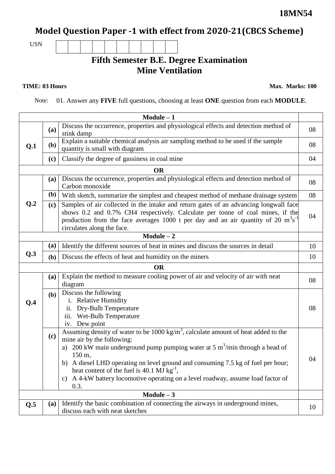## **Model Question Paper -1 with effect from 2020-21(CBCS Scheme)**

USN

## **Fifth Semester B.E. Degree Examination Mine Ventilation**

**TIME: 03 Hours** Max. Marks: 100

Note: 01. Answer any **FIVE** full questions, choosing at least **ONE** question from each **MODULE**.

| $Module - 1$ |              |                                                                                                                                                                                                                                                                                                                                                                                                                                                                                       |    |  |  |  |
|--------------|--------------|---------------------------------------------------------------------------------------------------------------------------------------------------------------------------------------------------------------------------------------------------------------------------------------------------------------------------------------------------------------------------------------------------------------------------------------------------------------------------------------|----|--|--|--|
| Q.1          | (a)          | Discuss the occurrence, properties and physiological effects and detection method of<br>stink damp                                                                                                                                                                                                                                                                                                                                                                                    | 08 |  |  |  |
|              | (b)          | Explain a suitable chemical analysis air sampling method to be used if the sample<br>quantity is small with diagram                                                                                                                                                                                                                                                                                                                                                                   |    |  |  |  |
|              | (c)          | Classify the degree of gassiness in coal mine                                                                                                                                                                                                                                                                                                                                                                                                                                         |    |  |  |  |
|              |              | <b>OR</b>                                                                                                                                                                                                                                                                                                                                                                                                                                                                             |    |  |  |  |
|              | (a)          | Discuss the occurrence, properties and physiological effects and detection method of<br>Carbon monoxide                                                                                                                                                                                                                                                                                                                                                                               |    |  |  |  |
|              | ( <b>b</b> ) | With sketch, summarize the simplest and cheapest method of methane drainage system                                                                                                                                                                                                                                                                                                                                                                                                    | 08 |  |  |  |
| Q.2          | (c)          | Samples of air collected in the intake and return gates of an advancing longwall face<br>shows 0.2 and 0.7% CH4 respectively. Calculate per tonne of coal mines, if the<br>production from the face averages 1000 t per day and an air quantity of 20 $m^3s^{-1}$<br>circulates along the face.                                                                                                                                                                                       |    |  |  |  |
|              |              | $Module - 2$                                                                                                                                                                                                                                                                                                                                                                                                                                                                          |    |  |  |  |
|              | (a)          | Identify the different sources of heat in mines and discuss the sources in detail                                                                                                                                                                                                                                                                                                                                                                                                     | 10 |  |  |  |
| Q.3          | (b)          | Discuss the effects of heat and humidity on the miners                                                                                                                                                                                                                                                                                                                                                                                                                                | 10 |  |  |  |
|              |              | <b>OR</b>                                                                                                                                                                                                                                                                                                                                                                                                                                                                             |    |  |  |  |
|              | (a)          | Explain the method to measure cooling power of air and velocity of air with neat<br>diagram                                                                                                                                                                                                                                                                                                                                                                                           | 08 |  |  |  |
| Q.4          | (b)          | Discuss the following<br>i. Relative Humidity<br>ii. Dry-Bulb Temperature<br>iii. Wet-Bulb Temperature<br>iv. Dew point                                                                                                                                                                                                                                                                                                                                                               | 08 |  |  |  |
|              | (c)          | Assuming density of water to be $1000 \text{ kg/m}^3$ , calculate amount of heat added to the<br>mine air by the following:<br>200 kW main underground pump pumping water at 5 $\text{m}^3/\text{min}$ through a head of<br>a)<br>150 m,<br>b) A diesel LHD operating on level ground and consuming 7.5 kg of fuel per hour;<br>heat content of the fuel is 40.1 MJ $\text{kg}^{-1}$ ,<br>A 4-kW battery locomotive operating on a level roadway, assume load factor of<br>C)<br>0.3. | 04 |  |  |  |
| Module $-3$  |              |                                                                                                                                                                                                                                                                                                                                                                                                                                                                                       |    |  |  |  |
| Q.5          | (a)          | Identify the basic combination of connecting the airways in underground mines,<br>discuss each with neat sketches                                                                                                                                                                                                                                                                                                                                                                     | 10 |  |  |  |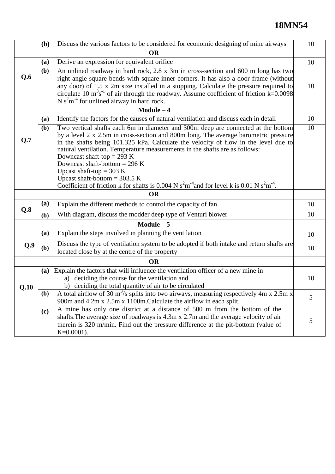## **18MN54**

|              | (b) | Discuss the various factors to be considered for economic designing of mine airways                                                                                                                                                                                                                                                                                                                                                                                          |    |  |  |  |  |  |
|--------------|-----|------------------------------------------------------------------------------------------------------------------------------------------------------------------------------------------------------------------------------------------------------------------------------------------------------------------------------------------------------------------------------------------------------------------------------------------------------------------------------|----|--|--|--|--|--|
| <b>OR</b>    |     |                                                                                                                                                                                                                                                                                                                                                                                                                                                                              |    |  |  |  |  |  |
| Q.6          | (a) | Derive an expression for equivalent orifice                                                                                                                                                                                                                                                                                                                                                                                                                                  |    |  |  |  |  |  |
|              | (b) | An unlined roadway in hard rock, 2.8 x 3m in cross-section and 600 m long has two                                                                                                                                                                                                                                                                                                                                                                                            |    |  |  |  |  |  |
|              |     | right angle square bends with square inner corners. It has also a door frame (without<br>any door) of 1.5 x 2m size installed in a stopping. Calculate the pressure required to<br>circulate 10 $\text{m}^3\text{s}^{-1}$ of air through the roadway. Assume coefficient of friction k=0.0098<br>N $s2m-4$ for unlined airway in hard rock.                                                                                                                                  |    |  |  |  |  |  |
|              |     | $Module - 4$                                                                                                                                                                                                                                                                                                                                                                                                                                                                 |    |  |  |  |  |  |
|              | (a) | Identify the factors for the causes of natural ventilation and discuss each in detail                                                                                                                                                                                                                                                                                                                                                                                        | 10 |  |  |  |  |  |
| Q.7          | (b) | Two vertical shafts each 6m in diameter and 300m deep are connected at the bottom<br>by a level 2 x 2.5m in cross-section and 800m long. The average barometric pressure<br>in the shafts being 101.325 kPa. Calculate the velocity of flow in the level due to<br>natural ventilation. Temperature measurements in the shafts are as follows:<br>Downcast shaft-top = 293 K<br>Downcast shaft-bottom = 296 K<br>Upcast shaft-top = 303 K<br>Upcast shaft-bottom = $303.5$ K |    |  |  |  |  |  |
|              |     | Coefficient of friction k for shafts is 0.004 N $s^2m^4$ and for level k is 0.01 N $s^2m^4$ .                                                                                                                                                                                                                                                                                                                                                                                |    |  |  |  |  |  |
|              |     | <b>OR</b>                                                                                                                                                                                                                                                                                                                                                                                                                                                                    |    |  |  |  |  |  |
| Q.8          | (a) | Explain the different methods to control the capacity of fan                                                                                                                                                                                                                                                                                                                                                                                                                 | 10 |  |  |  |  |  |
|              | (b) | With diagram, discuss the modder deep type of Venturi blower                                                                                                                                                                                                                                                                                                                                                                                                                 | 10 |  |  |  |  |  |
| $Module - 5$ |     |                                                                                                                                                                                                                                                                                                                                                                                                                                                                              |    |  |  |  |  |  |
|              | (a) | Explain the steps involved in planning the ventilation                                                                                                                                                                                                                                                                                                                                                                                                                       |    |  |  |  |  |  |
| Q.9          | (b) | Discuss the type of ventilation system to be adopted if both intake and return shafts are<br>located close by at the centre of the property                                                                                                                                                                                                                                                                                                                                  |    |  |  |  |  |  |
| <b>OR</b>    |     |                                                                                                                                                                                                                                                                                                                                                                                                                                                                              |    |  |  |  |  |  |
| Q.10         | (a) | Explain the factors that will influence the ventilation officer of a new mine in<br>a) deciding the course for the ventilation and<br>b) deciding the total quantity of air to be circulated                                                                                                                                                                                                                                                                                 | 10 |  |  |  |  |  |
|              | (b) | A total airflow of 30 $m^3$ /s splits into two airways, measuring respectively 4m x 2.5m x<br>900m and 4.2m x 2.5m x 1100m. Calculate the airflow in each split.                                                                                                                                                                                                                                                                                                             |    |  |  |  |  |  |
|              | (c) | A mine has only one district at a distance of 500 m from the bottom of the<br>shafts. The average size of roadways is 4.3m x 2.7m and the average velocity of air<br>therein is 320 m/min. Find out the pressure difference at the pit-bottom (value of<br>$K=0.0001$ ).                                                                                                                                                                                                     | 5  |  |  |  |  |  |